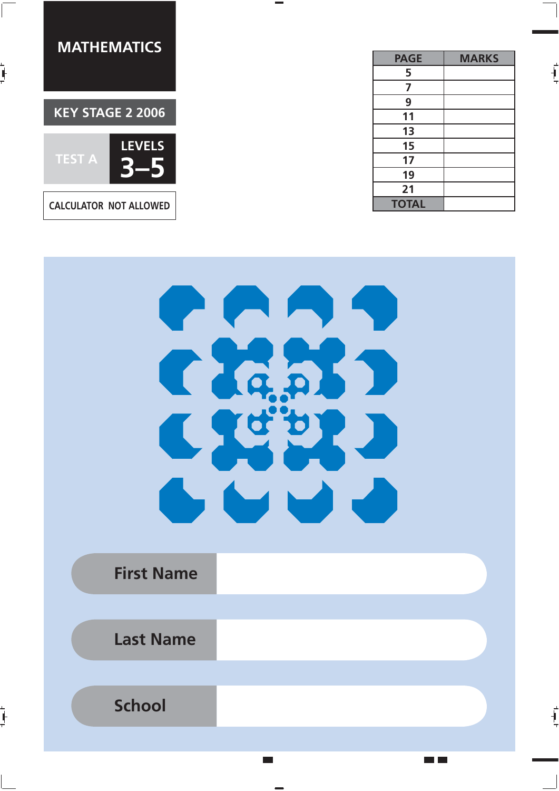

ţ

 $\frac{1}{4}$ 

| <b>PAGE</b>  | <b>MARKS</b> |
|--------------|--------------|
| 5            |              |
| 7            |              |
| 9            |              |
| 11           |              |
| 13           |              |
| 15           |              |
| 17           |              |
| 19           |              |
| 21           |              |
| <b>TOTAL</b> |              |

 $\ddot{\mathbf{t}}$ 

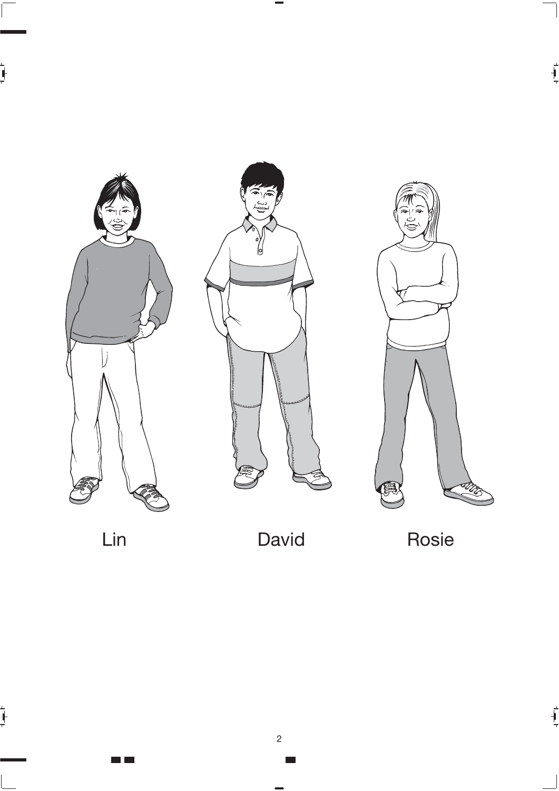

Ì

 $\frac{1}{4}$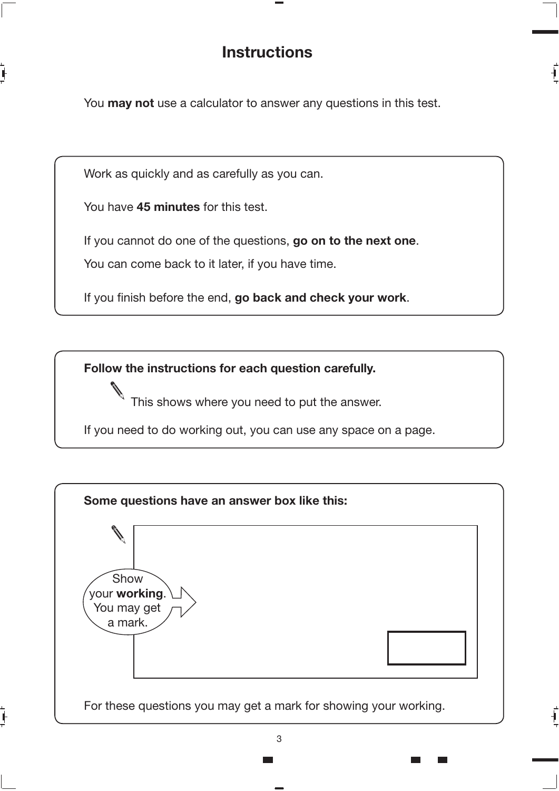# **Instructions**

You **may not** use a calculator to answer any questions in this test.

Work as quickly and as carefully as you can.

You have **45 minutes** for this test.

ŧ

If you cannot do one of the questions, **go on to the next one**.

You can come back to it later, if you have time.

If you finish before the end, go back and check your work.

**Follow the instructions for each question carefully.**

This shows where you need to put the answer.

If you need to do working out, you can use any space on a page.

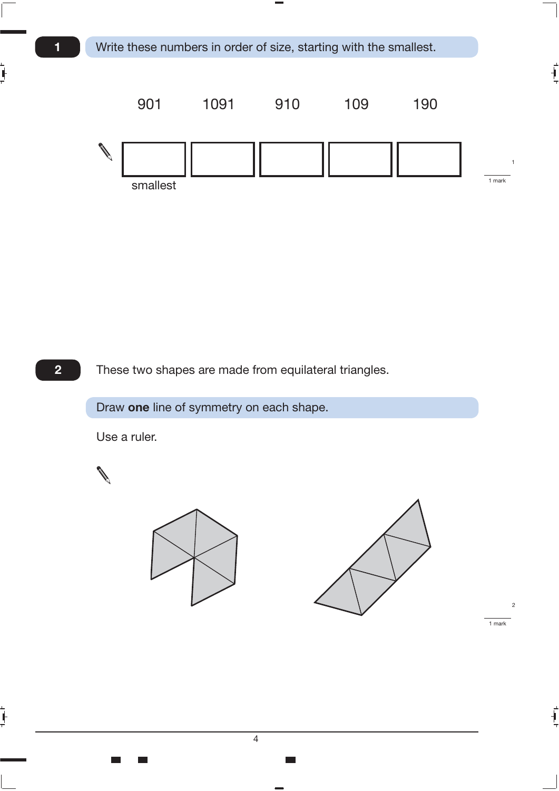

**2**

 $\mathbf{\dot{f}}$ 

**1**

These two shapes are made from equilateral triangles.

Draw **one** line of symmetry on each shape.

Use a ruler.



1 mark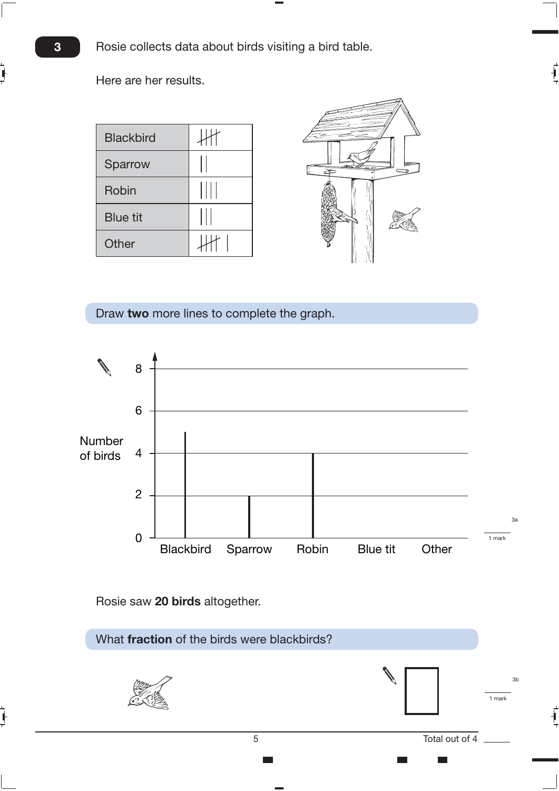**3** Rosie collects data about birds visiting a bird table.

Here are her results.

| <b>Blackbird</b> |  |
|------------------|--|
| Sparrow          |  |
| Robin            |  |
| <b>Blue tit</b>  |  |
| Other            |  |



Draw **two** more lines to complete the graph.



Rosie saw **20 birds** altogether.

What **fraction** of the birds were blackbirds?



ŧ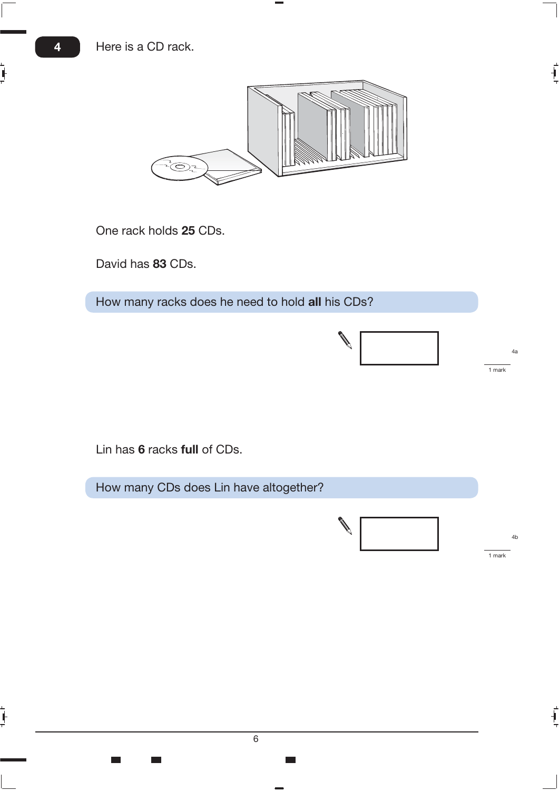Here is a CD rack.

**4**

 $\mathbf{\dot{f}}$ 



One rack holds **25** CDs.

David has **83** CDs.

How many racks does he need to hold **all** his CDs?



4a 1 mark

Lin has **6** racks **full** of CDs.

How many CDs does Lin have altogether?

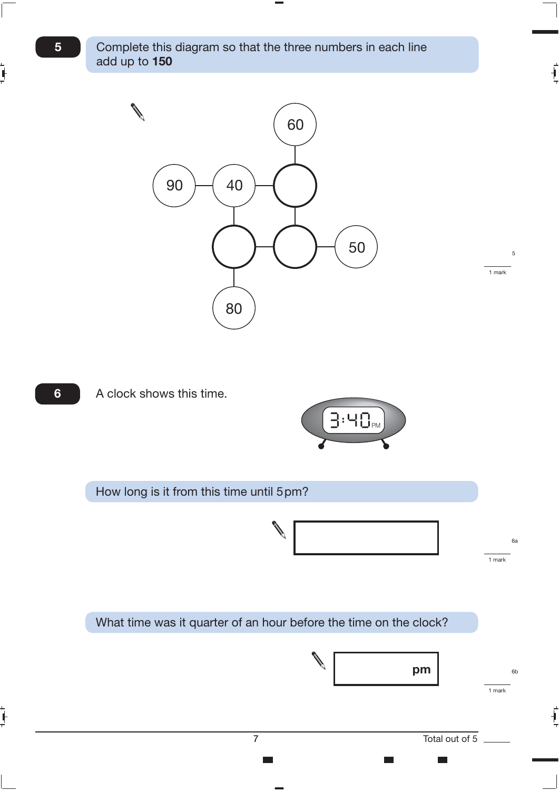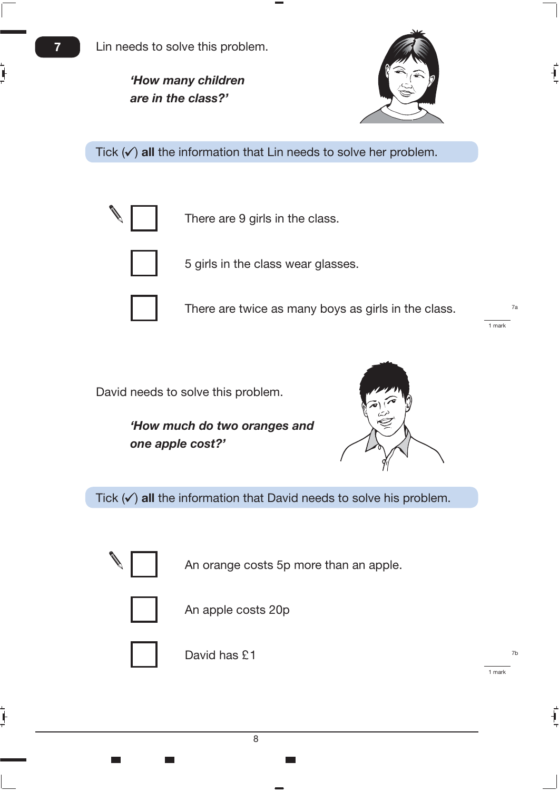*'How many children are in the class?'*



Tick  $(\checkmark)$  all the information that Lin needs to solve her problem.



There are 9 girls in the class.



5 girls in the class wear glasses.



There are twice as many boys as girls in the class.  $7a$ 

1 mark

1 mark

David needs to solve this problem.

*'How much do two oranges and one apple cost?'* 



Tick  $(\checkmark)$  all the information that David needs to solve his problem.



An orange costs 5p more than an apple.



An apple costs 20p



8

David has  $£1$   $10^{7b}$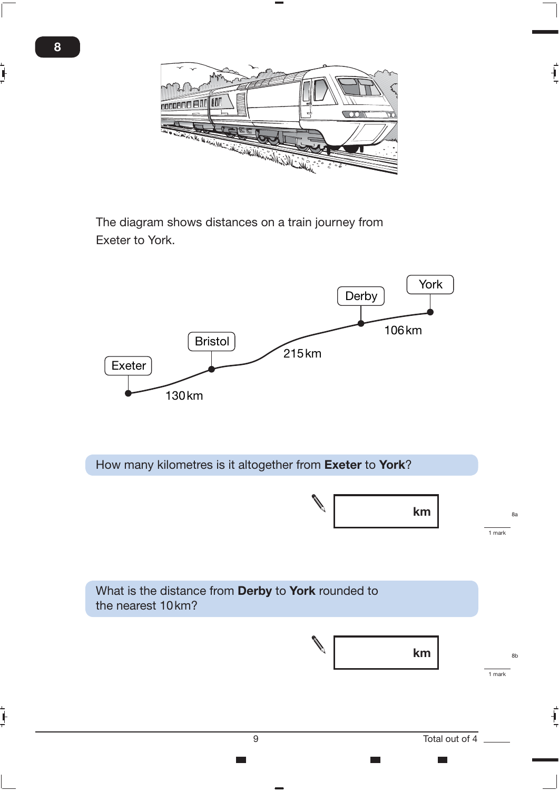

The diagram shows distances on a train journey from Exeter to York.



į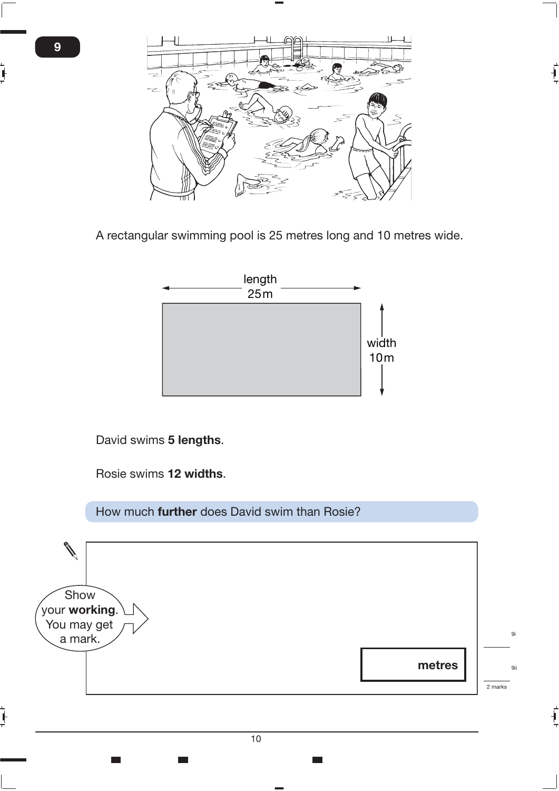

A rectangular swimming pool is 25 metres long and 10 metres wide.



David swims **5 lengths**.

**9**

Rosie swims **12 widths**.

How much **further** does David swim than Rosie?

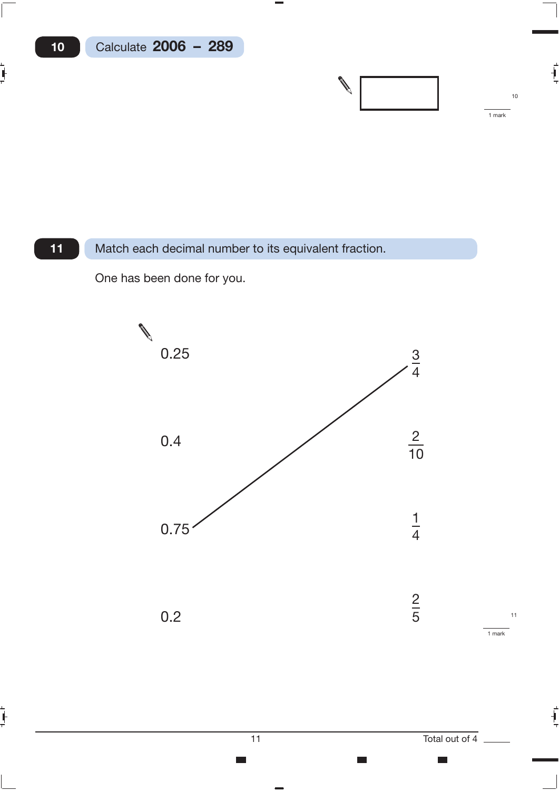

0.2

 $\frac{1}{4}$ 

0.75

1 mark

11

П

 $\mathbb{R}^n$ 

1 4

2 5

П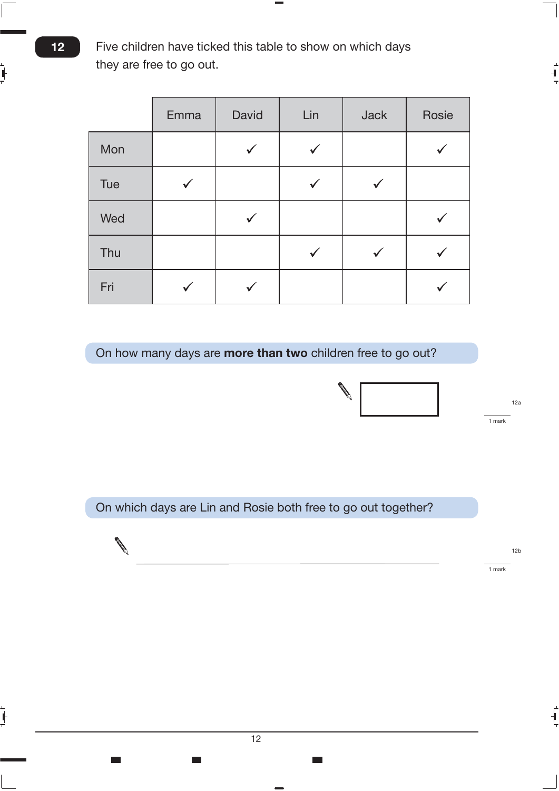ţ

Five children have ticked this table to show on which days they are free to go out.

|     | Emma | David        | Lin          | <b>Jack</b> | Rosie |
|-----|------|--------------|--------------|-------------|-------|
| Mon |      | $\checkmark$ | $\checkmark$ |             |       |
| Tue |      |              | $\checkmark$ |             |       |
| Wed |      |              |              |             |       |
| Thu |      |              |              |             |       |
| Fri |      |              |              |             |       |

On how many days are **more than two** children free to go out?



12a

12b

1 mark

On which days are Lin and Rosie both free to go out together?

**Contract Contract Contract Contract Contract Contract Contract Contract Contract Contract Contract Contract C** 

1 mark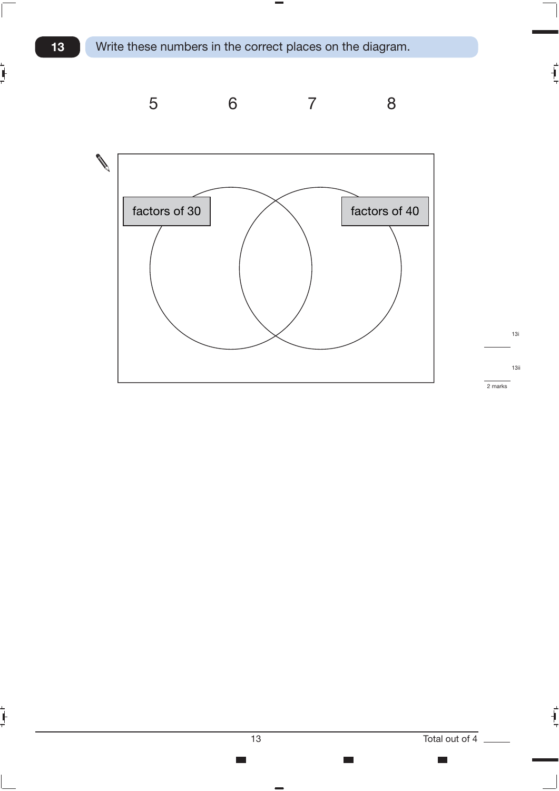**13**

 $\frac{1}{4}$ 

 $\ddagger$ 



 $\overline{\phantom{0}}$ 

 $\overline{\phantom{0}}$ 

 $\overline{\phantom{a}}$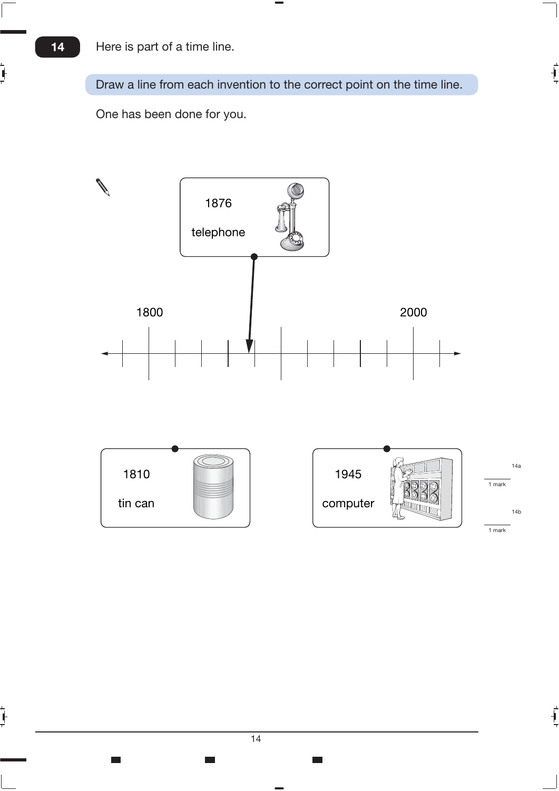## Here is part of a time line.

Draw a line from each invention to the correct point on the time line.

One has been done for you.



ļ

 $\frac{1}{4}$ 

e.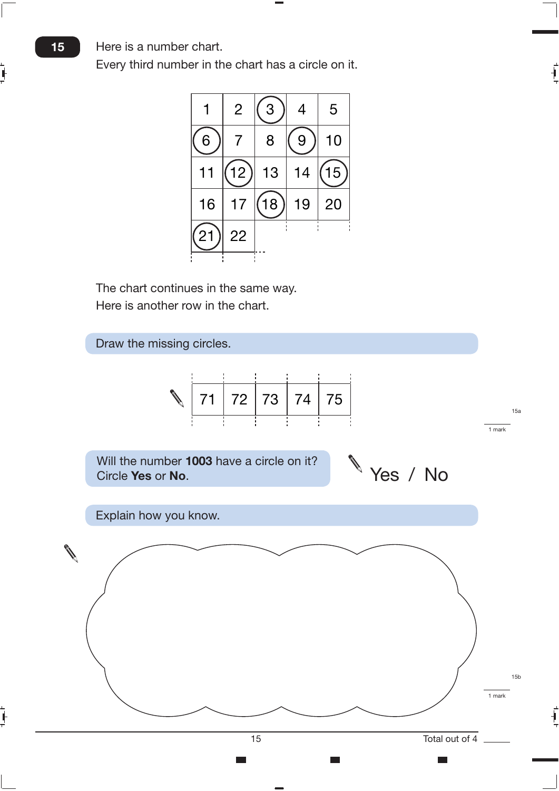Here is a number chart.

Every third number in the chart has a circle on it.



The chart continues in the same way. Here is another row in the chart.



e.

e.

**15**

 $\frac{1}{4}$ 

ļ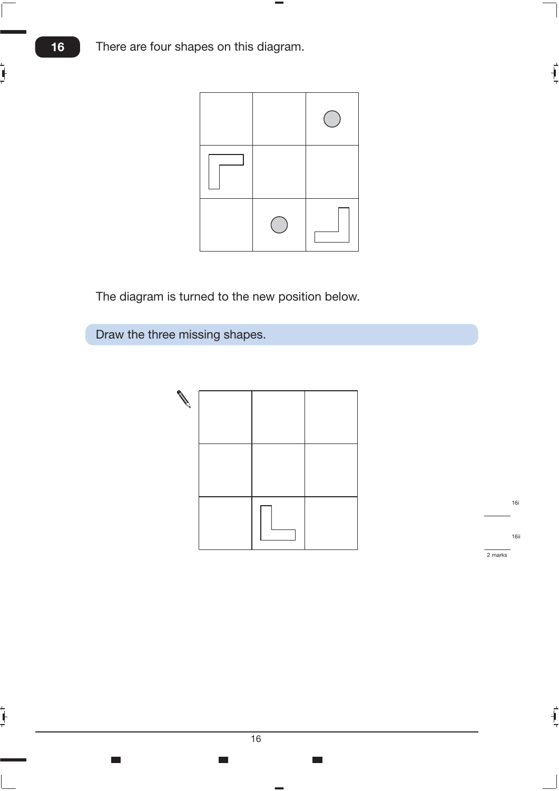

The diagram is turned to the new position below.

Draw the three missing shapes.



16i

16ii

 $\overline{\phantom{1}}$  2 marks

ׇ֧֓֓֓֓֓֬֓֓֓֓֓֓֓֓֓֓֬֓֓֓֓֓֬֓֓֓֓֓֬֓֓<del>֓</del>֖֧֧֓֓֓֓֓֓֓֓֓֓<del>֓</del>

 $\frac{1}{4}$ 

r.

 $\mathcal{L}_{\mathcal{A}}$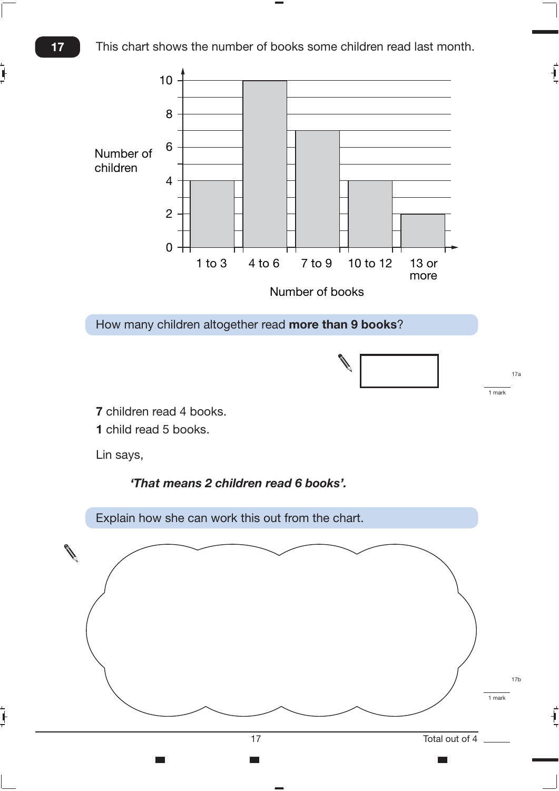

**1** child read 5 books.

Lin says,

#### *'That means 2 children read 6 books'.*



į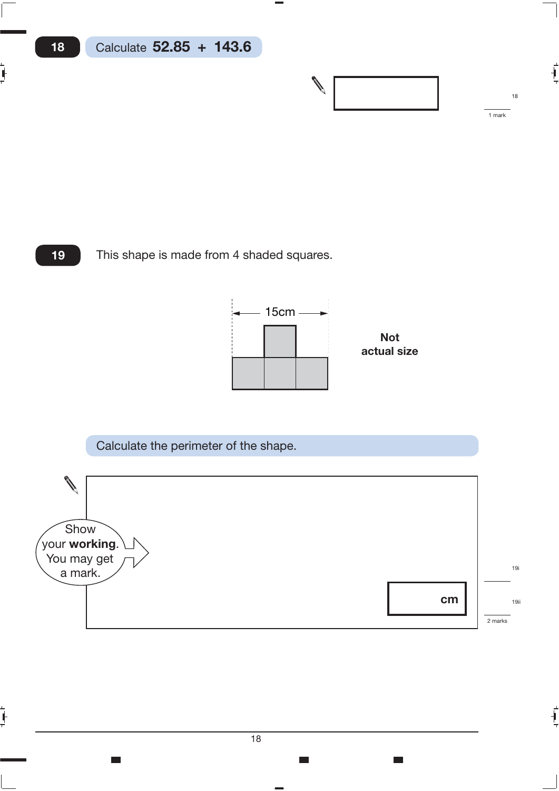

 $18$ 

 $\frac{1}{4}$ 

 $\sim$ 

**The State**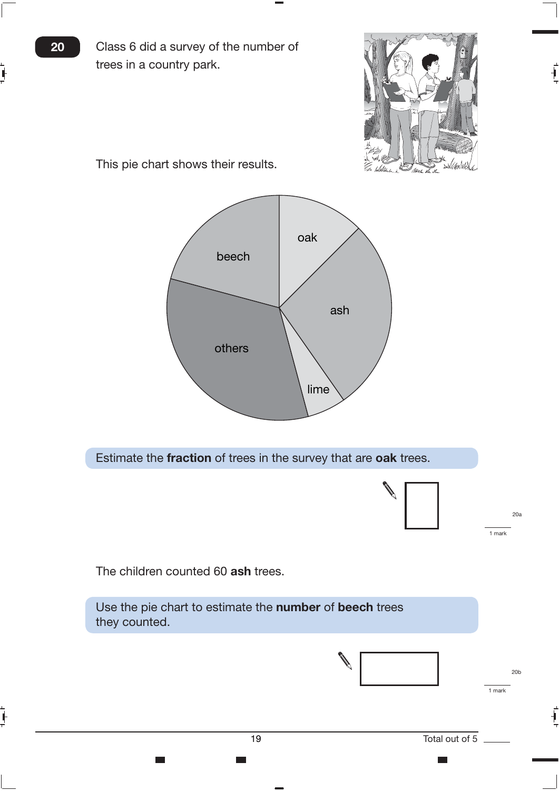![](_page_18_Figure_0.jpeg)

ļ

ׇ֧֧֧֓֓֓֓֬֓֓֓֓֬֓֓֓֓֓֓֓֓֓֓֬֓֓֓֬֓֓֓֬֓֓֡֓֩֬֓֓֡֓֓֡֓֓֓֓֓֡֓֓֡֓֓֡֓֓֡֓֬֓֓֡֬֓֓֬֓֓֓֓<del>֛֖֖֖</del>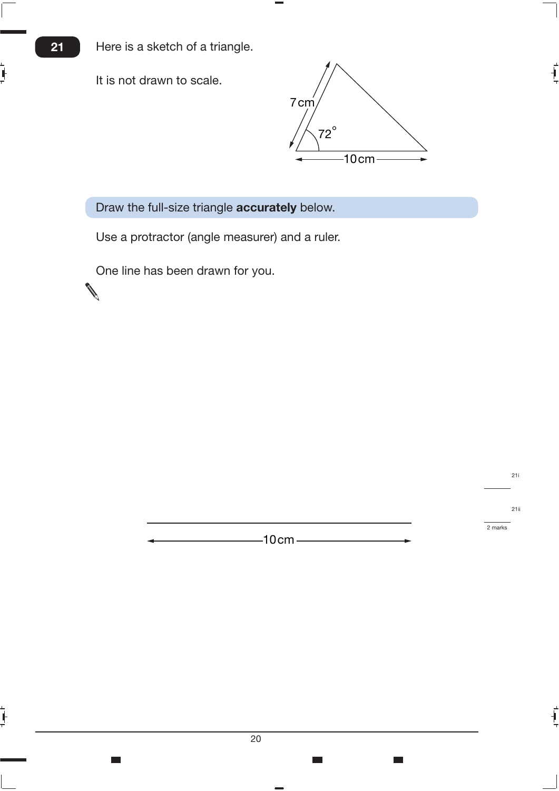**21**

Ī

Here is a sketch of a triangle.

It is not drawn to scale.

![](_page_19_Figure_3.jpeg)

21i

21ii

2 marks

Draw the full-size triangle **accurately** below.

Use a protractor (angle measurer) and a ruler.

One line has been drawn for you.

 $-10$ cm $-$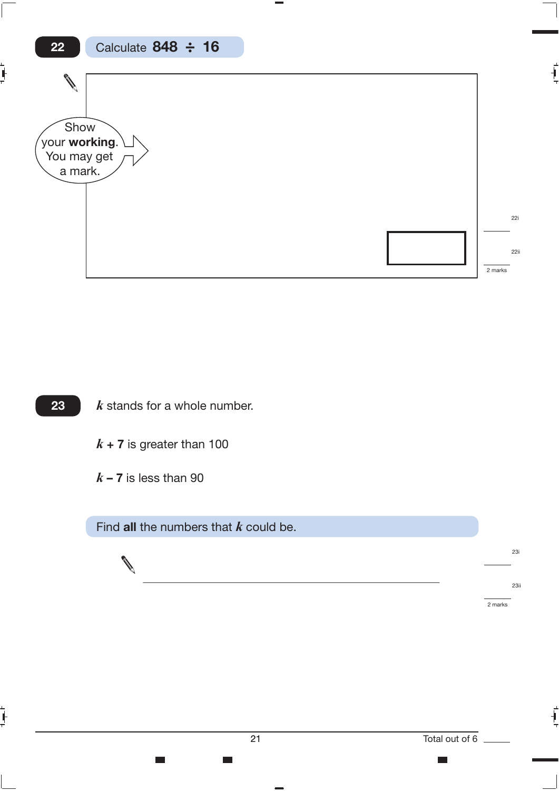![](_page_20_Figure_0.jpeg)

*k* stands for a whole number.

**23**

 $\frac{1}{4}$ 

*k* **+ 7** is greater than 100

 $\mathcal{L}_{\mathcal{A}}$ 

 $k - 7$  is less than 90

**Contract Contract Contract Contract Contract Contract Contract Contract Contract Contract Contract Contract Contract Contract Contract Contract Contract Contract Contract Contract Contract Contract Contract Contract Contr** 

Find **all** the numbers that *k* could be.

| 2 marks |
|---------|
|         |
|         |
|         |
|         |
|         |

 $\overline{\phantom{0}}$ 

23i

23ii

**The State**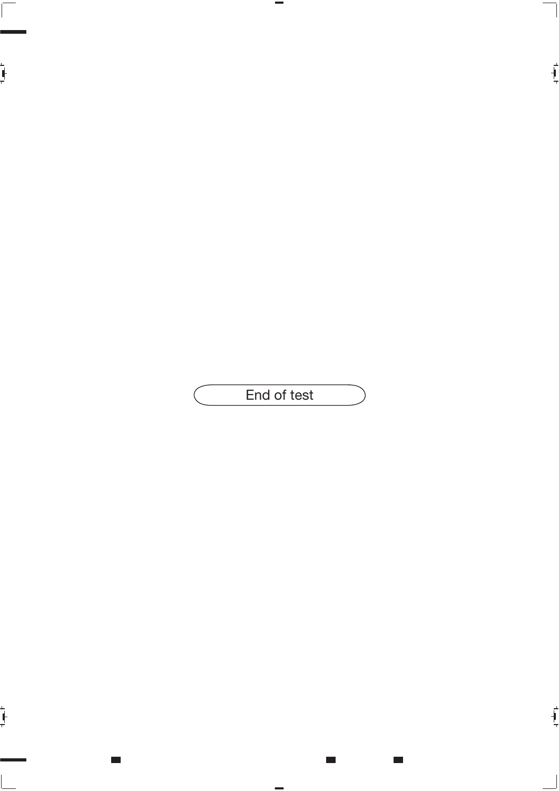End of test

÷.

 $\frac{1}{4}$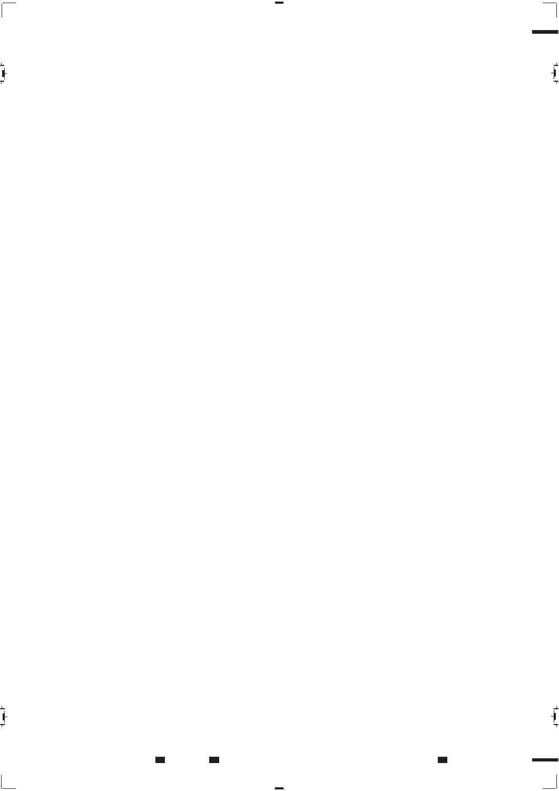![](_page_22_Picture_0.jpeg)